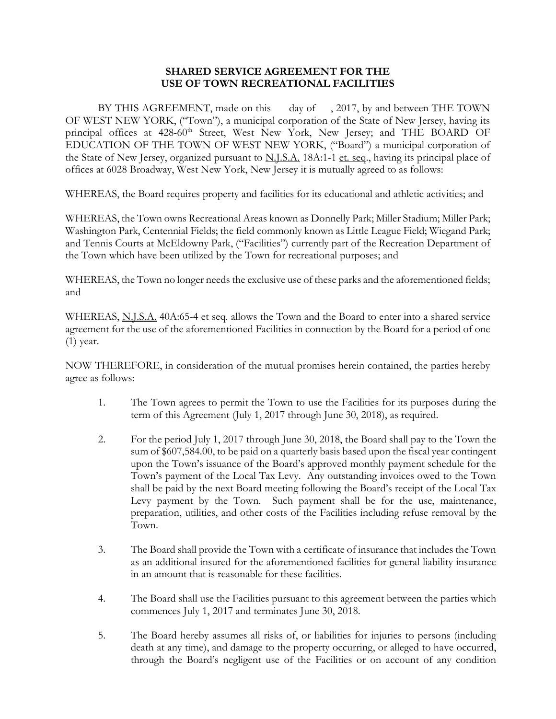## **SHARED SERVICE AGREEMENT FOR THE USE OF TOWN RECREATIONAL FACILITIES**

BY THIS AGREEMENT, made on this day of , 2017, by and between THE TOWN OF WEST NEW YORK, ("Town"), a municipal corporation of the State of New Jersey, having its principal offices at 428-60<sup>th</sup> Street, West New York, New Jersey; and THE BOARD OF EDUCATION OF THE TOWN OF WEST NEW YORK, ("Board") a municipal corporation of the State of New Jersey, organized pursuant to N.J.S.A. 18A:1-1 et. seq., having its principal place of offices at 6028 Broadway, West New York, New Jersey it is mutually agreed to as follows:

WHEREAS, the Board requires property and facilities for its educational and athletic activities; and

WHEREAS, the Town owns Recreational Areas known as Donnelly Park; Miller Stadium; Miller Park; Washington Park, Centennial Fields; the field commonly known as Little League Field; Wiegand Park; and Tennis Courts at McEldowny Park, ("Facilities") currently part of the Recreation Department of the Town which have been utilized by the Town for recreational purposes; and

WHEREAS, the Town no longer needs the exclusive use of these parks and the aforementioned fields; and

WHEREAS, N.J.S.A. 40A:65-4 et seq. allows the Town and the Board to enter into a shared service agreement for the use of the aforementioned Facilities in connection by the Board for a period of one (1) year.

NOW THEREFORE, in consideration of the mutual promises herein contained, the parties hereby agree as follows:

- 1. The Town agrees to permit the Town to use the Facilities for its purposes during the term of this Agreement (July 1, 2017 through June 30, 2018), as required.
- 2. For the period July 1, 2017 through June 30, 2018, the Board shall pay to the Town the sum of \$607,584.00, to be paid on a quarterly basis based upon the fiscal year contingent upon the Town's issuance of the Board's approved monthly payment schedule for the Town's payment of the Local Tax Levy. Any outstanding invoices owed to the Town shall be paid by the next Board meeting following the Board's receipt of the Local Tax Levy payment by the Town. Such payment shall be for the use, maintenance, preparation, utilities, and other costs of the Facilities including refuse removal by the Town.
- 3. The Board shall provide the Town with a certificate of insurance that includes the Town as an additional insured for the aforementioned facilities for general liability insurance in an amount that is reasonable for these facilities.
- 4. The Board shall use the Facilities pursuant to this agreement between the parties which commences July 1, 2017 and terminates June 30, 2018.
- 5. The Board hereby assumes all risks of, or liabilities for injuries to persons (including death at any time), and damage to the property occurring, or alleged to have occurred, through the Board's negligent use of the Facilities or on account of any condition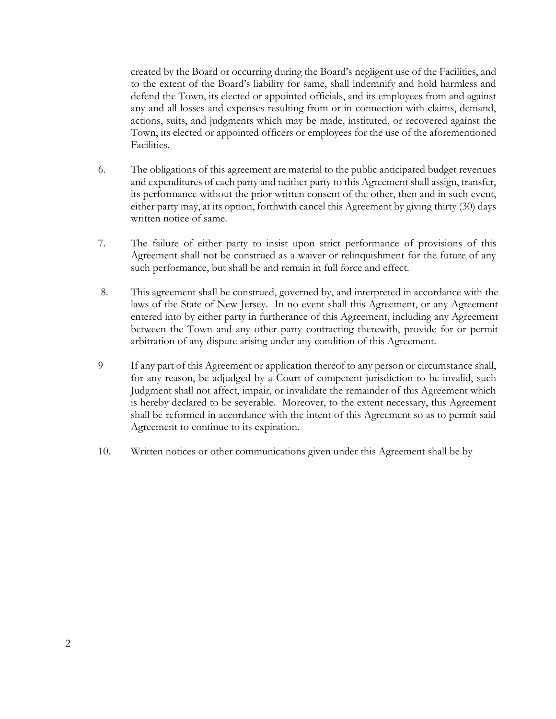created by the Board or occurring during the Board's negligent use of the Facilities, and to the extent of the Board's liability for same, shall indemnify and hold harmless and defend the Town, its elected or appointed officials, and its employees from and against any and all losses and expenses resulting from or in connection with claims, demand, actions, suits, and judgments which may be made, instituted, or recovered against the Town, its elected or appointed officers or employees for the use of the aforementioned Facilities.

- 6. The obligations of this agreement are material to the public anticipated budget revenues and expenditures of each party and neither party to this Agreement shall assign, transfer, its performance without the prior written consent of the other, then and in such event, either party may, at its option, forthwith cancel this Agreement by giving thirty (30) days written notice of same.
- 7. The failure of either party to insist upon strict performance of provisions of this Agreement shall not be construed as a waiver or relinquishment for the future of any such performance, but shall be and remain in full force and effect.
- 8. This agreement shall be construed, governed by, and interpreted in accordance with the laws of the State of New Jersey. In no event shall this Agreement, or any Agreement entered into by either party in furtherance of this Agreement, including any Agreement between the Town and any other party contracting therewith, provide for or permit arbitration of any dispute arising under any condition of this Agreement.
- 9 If any part of this Agreement or application thereof to any person or circumstance shall, for any reason, be adjudged by a Court of competent jurisdiction to be invalid, such Judgment shall not affect, impair, or invalidate the remainder of this Agreement which is hereby declared to be severable. Moreover, to the extent necessary, this Agreement shall be reformed in accordance with the intent of this Agreement so as to permit said Agreement to continue to its expiration.
- 10. Written notices or other communications given under this Agreement shall be by